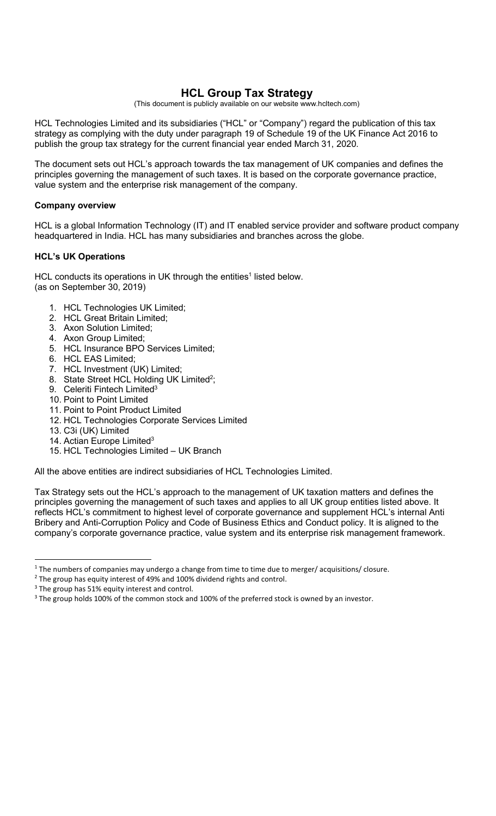# HCL Group Tax Strategy

(This document is publicly available on our website www.hcltech.com)

HCL Technologies Limited and its subsidiaries ("HCL" or "Company") regard the publication of this tax strategy as complying with the duty under paragraph 19 of Schedule 19 of the UK Finance Act 2016 to publish the group tax strategy for the current financial year ended March 31, 2020.

The document sets out HCL's approach towards the tax management of UK companies and defines the principles governing the management of such taxes. It is based on the corporate governance practice, value system and the enterprise risk management of the company.

#### Company overview

HCL is a global Information Technology (IT) and IT enabled service provider and software product company headquartered in India. HCL has many subsidiaries and branches across the globe.

### HCL's UK Operations

HCL conducts its operations in UK through the entities<sup>1</sup> listed below. (as on September 30, 2019)

- 1. HCL Technologies UK Limited;
- 2. HCL Great Britain Limited;
- 3. Axon Solution Limited;
- 4. Axon Group Limited;
- 5. HCL Insurance BPO Services Limited;
- 6. HCL EAS Limited;
- 7. HCL Investment (UK) Limited;
- 8. State Street HCL Holding UK Limited<sup>2</sup>;
- 9. Celeriti Fintech Limited<sup>3</sup>
- 10. Point to Point Limited
- 11. Point to Point Product Limited
- 12. HCL Technologies Corporate Services Limited
- 13. C3i (UK) Limited

-

- 14. Actian Europe Limited<sup>3</sup>
- 15. HCL Technologies Limited UK Branch

All the above entities are indirect subsidiaries of HCL Technologies Limited.

Tax Strategy sets out the HCL's approach to the management of UK taxation matters and defines the principles governing the management of such taxes and applies to all UK group entities listed above. It reflects HCL's commitment to highest level of corporate governance and supplement HCL's internal Anti Bribery and Anti-Corruption Policy and Code of Business Ethics and Conduct policy. It is aligned to the company's corporate governance practice, value system and its enterprise risk management framework.

 $1$  The numbers of companies may undergo a change from time to time due to merger/acquisitions/closure.

 $2$  The group has equity interest of 49% and 100% dividend rights and control.

<sup>&</sup>lt;sup>3</sup> The group has 51% equity interest and control.

<sup>&</sup>lt;sup>3</sup> The group holds 100% of the common stock and 100% of the preferred stock is owned by an investor.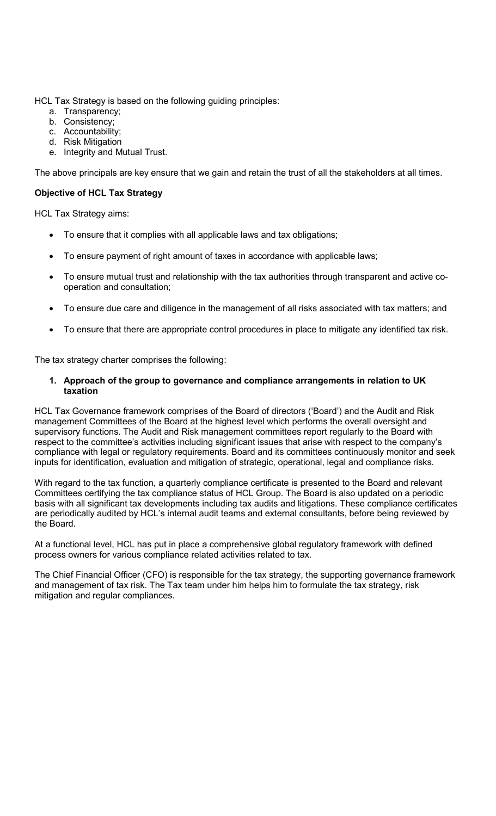HCL Tax Strategy is based on the following guiding principles:

- a. Transparency;
- b. Consistency;
- c. Accountability;
- d. Risk Mitigation
- e. Integrity and Mutual Trust.

The above principals are key ensure that we gain and retain the trust of all the stakeholders at all times.

## Objective of HCL Tax Strategy

HCL Tax Strategy aims:

- To ensure that it complies with all applicable laws and tax obligations;
- To ensure payment of right amount of taxes in accordance with applicable laws;
- To ensure mutual trust and relationship with the tax authorities through transparent and active cooperation and consultation;
- To ensure due care and diligence in the management of all risks associated with tax matters; and
- To ensure that there are appropriate control procedures in place to mitigate any identified tax risk.

The tax strategy charter comprises the following:

### 1. Approach of the group to governance and compliance arrangements in relation to UK taxation

HCL Tax Governance framework comprises of the Board of directors ('Board') and the Audit and Risk management Committees of the Board at the highest level which performs the overall oversight and supervisory functions. The Audit and Risk management committees report regularly to the Board with respect to the committee's activities including significant issues that arise with respect to the company's compliance with legal or regulatory requirements. Board and its committees continuously monitor and seek inputs for identification, evaluation and mitigation of strategic, operational, legal and compliance risks.

With regard to the tax function, a quarterly compliance certificate is presented to the Board and relevant Committees certifying the tax compliance status of HCL Group. The Board is also updated on a periodic basis with all significant tax developments including tax audits and litigations. These compliance certificates are periodically audited by HCL's internal audit teams and external consultants, before being reviewed by the Board.

At a functional level, HCL has put in place a comprehensive global regulatory framework with defined process owners for various compliance related activities related to tax.

The Chief Financial Officer (CFO) is responsible for the tax strategy, the supporting governance framework and management of tax risk. The Tax team under him helps him to formulate the tax strategy, risk mitigation and regular compliances.